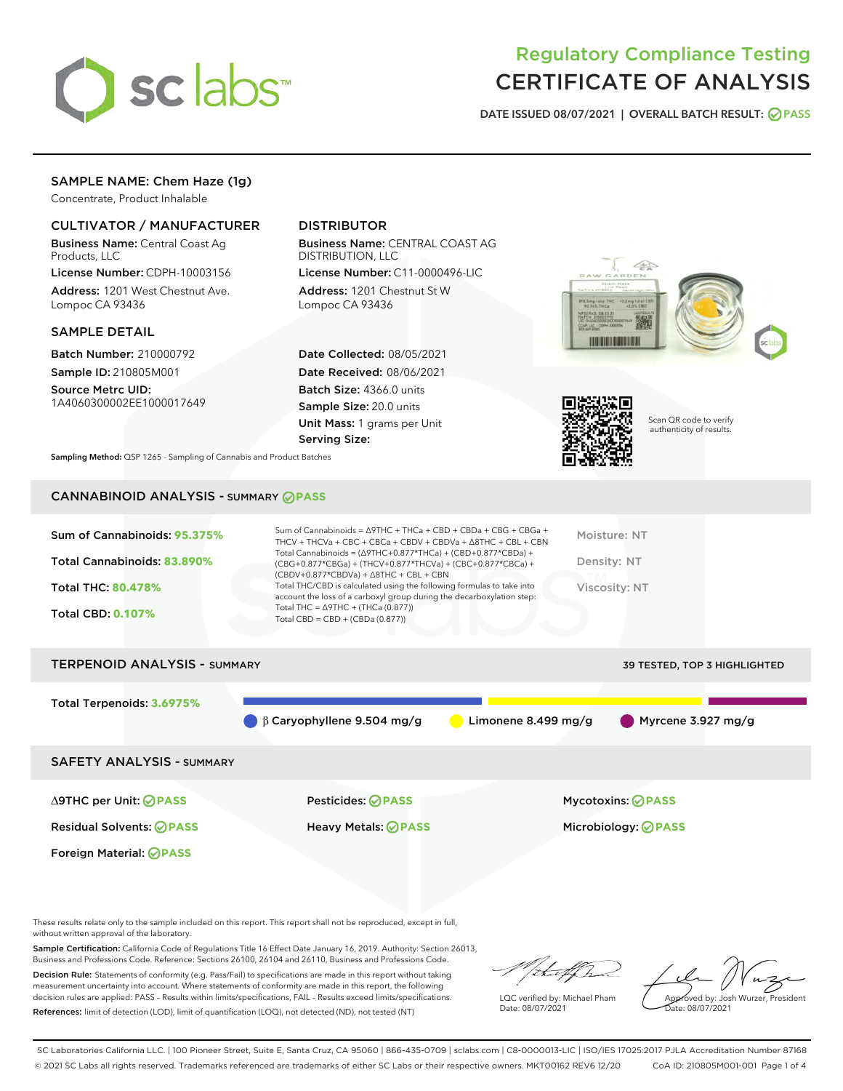

## Regulatory Compliance Testing CERTIFICATE OF ANALYSIS

DATE ISSUED 08/07/2021 | OVERALL BATCH RESULT: @ PASS

## SAMPLE NAME: Chem Haze (1g)

Concentrate, Product Inhalable

## CULTIVATOR / MANUFACTURER

Business Name: Central Coast Ag Products, LLC

License Number: CDPH-10003156 Address: 1201 West Chestnut Ave. Lompoc CA 93436

#### SAMPLE DETAIL

Batch Number: 210000792 Sample ID: 210805M001

Source Metrc UID: 1A4060300002EE1000017649

## DISTRIBUTOR

Business Name: CENTRAL COAST AG DISTRIBUTION, LLC License Number: C11-0000496-LIC

Address: 1201 Chestnut St W Lompoc CA 93436

Date Collected: 08/05/2021 Date Received: 08/06/2021 Batch Size: 4366.0 units Sample Size: 20.0 units Unit Mass: 1 grams per Unit Serving Size:





Scan QR code to verify authenticity of results.

Sampling Method: QSP 1265 - Sampling of Cannabis and Product Batches

## CANNABINOID ANALYSIS - SUMMARY **PASS**

| Sum of Cannabinoids: 95.375% | Sum of Cannabinoids = $\triangle$ 9THC + THCa + CBD + CBDa + CBG + CBGa +<br>THCV + THCVa + CBC + CBCa + CBDV + CBDVa + $\Delta$ 8THC + CBL + CBN                                    | Moisture: NT  |
|------------------------------|--------------------------------------------------------------------------------------------------------------------------------------------------------------------------------------|---------------|
| Total Cannabinoids: 83.890%  | Total Cannabinoids = $(\Delta$ 9THC+0.877*THCa) + (CBD+0.877*CBDa) +<br>(CBG+0.877*CBGa) + (THCV+0.877*THCVa) + (CBC+0.877*CBCa) +<br>$(CBDV+0.877*CBDVa) + \Delta 8THC + CBL + CBN$ | Density: NT   |
| <b>Total THC: 80.478%</b>    | Total THC/CBD is calculated using the following formulas to take into<br>account the loss of a carboxyl group during the decarboxylation step:                                       | Viscosity: NT |
| <b>Total CBD: 0.107%</b>     | Total THC = $\triangle$ 9THC + (THCa (0.877))<br>Total CBD = $CBD + (CBDa (0.877))$                                                                                                  |               |
|                              |                                                                                                                                                                                      |               |

# TERPENOID ANALYSIS - SUMMARY 39 TESTED, TOP 3 HIGHLIGHTED Total Terpenoids: **3.6975%** β Caryophyllene 9.504 mg/g Limonene 8.499 mg/g Myrcene 3.927 mg/g SAFETY ANALYSIS - SUMMARY

Foreign Material: **PASS**

Residual Solvents: **PASS** Heavy Metals: **PASS** Microbiology: **PASS**

∆9THC per Unit: **PASS** Pesticides: **PASS** Mycotoxins: **PASS**

These results relate only to the sample included on this report. This report shall not be reproduced, except in full, without written approval of the laboratory.

Sample Certification: California Code of Regulations Title 16 Effect Date January 16, 2019. Authority: Section 26013, Business and Professions Code. Reference: Sections 26100, 26104 and 26110, Business and Professions Code.

Decision Rule: Statements of conformity (e.g. Pass/Fail) to specifications are made in this report without taking measurement uncertainty into account. Where statements of conformity are made in this report, the following decision rules are applied: PASS – Results within limits/specifications, FAIL – Results exceed limits/specifications. References: limit of detection (LOD), limit of quantification (LOQ), not detected (ND), not tested (NT)

LQC verified by: Michael Pham Date: 08/07/2021

Approved by: Josh Wurzer, President ate: 08/07/2021

SC Laboratories California LLC. | 100 Pioneer Street, Suite E, Santa Cruz, CA 95060 | 866-435-0709 | sclabs.com | C8-0000013-LIC | ISO/IES 17025:2017 PJLA Accreditation Number 87168 © 2021 SC Labs all rights reserved. Trademarks referenced are trademarks of either SC Labs or their respective owners. MKT00162 REV6 12/20 CoA ID: 210805M001-001 Page 1 of 4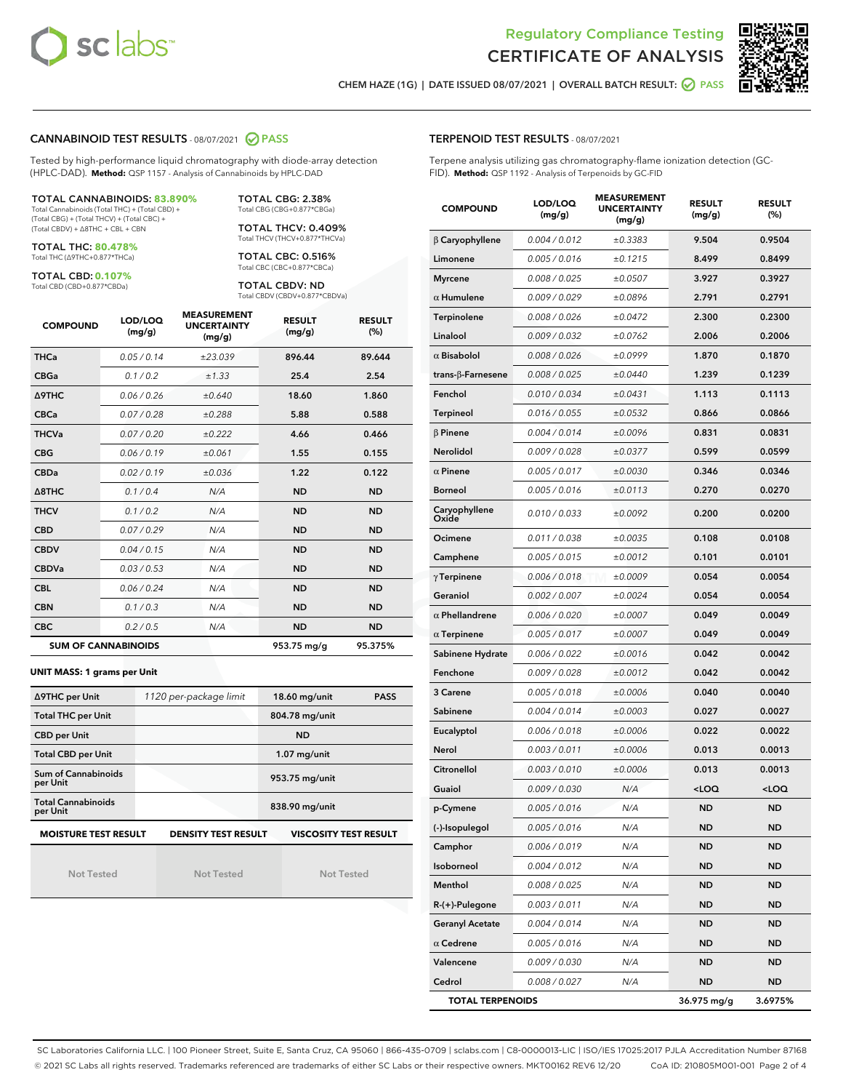



CHEM HAZE (1G) | DATE ISSUED 08/07/2021 | OVERALL BATCH RESULT: ◯ PASS

#### CANNABINOID TEST RESULTS - 08/07/2021 2 PASS

Tested by high-performance liquid chromatography with diode-array detection (HPLC-DAD). **Method:** QSP 1157 - Analysis of Cannabinoids by HPLC-DAD

TOTAL CANNABINOIDS: **83.890%** Total Cannabinoids (Total THC) + (Total CBD) +

(Total CBG) + (Total THCV) + (Total CBC) + (Total CBDV) + ∆8THC + CBL + CBN

TOTAL THC: **80.478%** Total THC (∆9THC+0.877\*THCa)

TOTAL CBD: **0.107%**

Total CBD (CBD+0.877\*CBDa)

TOTAL CBG: 2.38% Total CBG (CBG+0.877\*CBGa) TOTAL THCV: 0.409%

Total THCV (THCV+0.877\*THCVa)

TOTAL CBC: 0.516% Total CBC (CBC+0.877\*CBCa)

TOTAL CBDV: ND Total CBDV (CBDV+0.877\*CBDVa)

| <b>COMPOUND</b>  | LOD/LOQ<br>(mg/g)          | <b>MEASUREMENT</b><br><b>UNCERTAINTY</b><br>(mg/g) | <b>RESULT</b><br>(mg/g) | <b>RESULT</b><br>(%) |
|------------------|----------------------------|----------------------------------------------------|-------------------------|----------------------|
| <b>THCa</b>      | 0.05 / 0.14                | ±23.039                                            | 896.44                  | 89.644               |
| <b>CBGa</b>      | 0.1 / 0.2                  | ±1.33                                              | 25.4                    | 2.54                 |
| <b>A9THC</b>     | 0.06 / 0.26                | ±0.640                                             | 18.60                   | 1.860                |
| <b>CBCa</b>      | 0.07 / 0.28                | ±0.288                                             | 5.88                    | 0.588                |
| <b>THCVa</b>     | 0.07/0.20                  | ±0.222                                             | 4.66                    | 0.466                |
| <b>CBG</b>       | 0.06/0.19                  | ±0.061                                             | 1.55                    | 0.155                |
| <b>CBDa</b>      | 0.02/0.19                  | ±0.036                                             | 1.22                    | 0.122                |
| $\triangle$ 8THC | 0.1/0.4                    | N/A                                                | <b>ND</b>               | <b>ND</b>            |
| <b>THCV</b>      | 0.1/0.2                    | N/A                                                | <b>ND</b>               | <b>ND</b>            |
| <b>CBD</b>       | 0.07/0.29                  | N/A                                                | <b>ND</b>               | <b>ND</b>            |
| <b>CBDV</b>      | 0.04 / 0.15                | N/A                                                | <b>ND</b>               | <b>ND</b>            |
| <b>CBDVa</b>     | 0.03/0.53                  | N/A                                                | <b>ND</b>               | <b>ND</b>            |
| <b>CBL</b>       | 0.06 / 0.24                | N/A                                                | <b>ND</b>               | <b>ND</b>            |
| <b>CBN</b>       | 0.1/0.3                    | N/A                                                | <b>ND</b>               | <b>ND</b>            |
| <b>CBC</b>       | 0.2 / 0.5                  | N/A                                                | <b>ND</b>               | <b>ND</b>            |
|                  | <b>SUM OF CANNABINOIDS</b> |                                                    | 953.75 mg/g             | 95.375%              |

#### **UNIT MASS: 1 grams per Unit**

| ∆9THC per Unit                                                                            | 1120 per-package limit | 18.60 mg/unit<br><b>PASS</b> |  |  |  |
|-------------------------------------------------------------------------------------------|------------------------|------------------------------|--|--|--|
| <b>Total THC per Unit</b>                                                                 |                        | 804.78 mg/unit               |  |  |  |
| <b>CBD per Unit</b>                                                                       |                        | <b>ND</b>                    |  |  |  |
| <b>Total CBD per Unit</b>                                                                 |                        | $1.07$ mg/unit               |  |  |  |
| Sum of Cannabinoids<br>per Unit                                                           |                        | 953.75 mg/unit               |  |  |  |
| <b>Total Cannabinoids</b><br>per Unit                                                     |                        | 838.90 mg/unit               |  |  |  |
| <b>MOISTURE TEST RESULT</b><br><b>DENSITY TEST RESULT</b><br><b>VISCOSITY TEST RESULT</b> |                        |                              |  |  |  |

Not Tested

Not Tested

Not Tested

#### TERPENOID TEST RESULTS - 08/07/2021

Terpene analysis utilizing gas chromatography-flame ionization detection (GC-FID). **Method:** QSP 1192 - Analysis of Terpenoids by GC-FID

| <b>COMPOUND</b>           | LOD/LOQ<br>(mg/g) | <b>MEASUREMENT</b><br><b>UNCERTAINTY</b><br>(mg/g) | <b>RESULT</b><br>(mg/g)                         | <b>RESULT</b><br>$(\%)$ |
|---------------------------|-------------------|----------------------------------------------------|-------------------------------------------------|-------------------------|
| $\beta$ Caryophyllene     | 0.004 / 0.012     | ±0.3383                                            | 9.504                                           | 0.9504                  |
| Limonene                  | 0.005 / 0.016     | ±0.1215                                            | 8.499                                           | 0.8499                  |
| <b>Myrcene</b>            | 0.008 / 0.025     | ±0.0507                                            | 3.927                                           | 0.3927                  |
| $\alpha$ Humulene         | 0.009/0.029       | ±0.0896                                            | 2.791                                           | 0.2791                  |
| Terpinolene               | 0.008 / 0.026     | ±0.0472                                            | 2.300                                           | 0.2300                  |
| Linalool                  | 0.009 / 0.032     | ±0.0762                                            | 2.006                                           | 0.2006                  |
| $\alpha$ Bisabolol        | 0.008 / 0.026     | ±0.0999                                            | 1.870                                           | 0.1870                  |
| trans- $\beta$ -Farnesene | 0.008 / 0.025     | ±0.0440                                            | 1.239                                           | 0.1239                  |
| Fenchol                   | 0.010 / 0.034     | ±0.0431                                            | 1.113                                           | 0.1113                  |
| <b>Terpineol</b>          | 0.016 / 0.055     | ±0.0532                                            | 0.866                                           | 0.0866                  |
| $\beta$ Pinene            | 0.004 / 0.014     | ±0.0096                                            | 0.831                                           | 0.0831                  |
| Nerolidol                 | 0.009 / 0.028     | ±0.0377                                            | 0.599                                           | 0.0599                  |
| $\alpha$ Pinene           | 0.005 / 0.017     | ±0.0030                                            | 0.346                                           | 0.0346                  |
| <b>Borneol</b>            | 0.005 / 0.016     | ±0.0113                                            | 0.270                                           | 0.0270                  |
| Caryophyllene<br>Oxide    | 0.010 / 0.033     | ±0.0092                                            | 0.200                                           | 0.0200                  |
| Ocimene                   | 0.011 / 0.038     | ±0.0035                                            | 0.108                                           | 0.0108                  |
| Camphene                  | 0.005 / 0.015     | ±0.0012                                            | 0.101                                           | 0.0101                  |
| $\gamma$ Terpinene        | 0.006 / 0.018     | ±0.0009                                            | 0.054                                           | 0.0054                  |
| Geraniol                  | 0.002 / 0.007     | ±0.0024                                            | 0.054                                           | 0.0054                  |
| $\alpha$ Phellandrene     | 0.006 / 0.020     | ±0.0007                                            | 0.049                                           | 0.0049                  |
| $\alpha$ Terpinene        | 0.005 / 0.017     | ±0.0007                                            | 0.049                                           | 0.0049                  |
| Sabinene Hydrate          | 0.006 / 0.022     | ±0.0016                                            | 0.042                                           | 0.0042                  |
| Fenchone                  | 0.009 / 0.028     | ±0.0012                                            | 0.042                                           | 0.0042                  |
| 3 Carene                  | 0.005 / 0.018     | ±0.0006                                            | 0.040                                           | 0.0040                  |
| Sabinene                  | 0.004 / 0.014     | ±0.0003                                            | 0.027                                           | 0.0027                  |
| Eucalyptol                | 0.006 / 0.018     | ±0.0006                                            | 0.022                                           | 0.0022                  |
| Nerol                     | 0.003 / 0.011     | ±0.0006                                            | 0.013                                           | 0.0013                  |
| Citronellol               | 0.003 / 0.010     | ±0.0006                                            | 0.013                                           | 0.0013                  |
| Guaiol                    | 0.009 / 0.030     | N/A                                                | <loq< th=""><th><loq< th=""></loq<></th></loq<> | <loq< th=""></loq<>     |
| p-Cymene                  | 0.005 / 0.016     | N/A                                                | ND                                              | ND                      |
| (-)-Isopulegol            | 0.005 / 0.016     | N/A                                                | ND                                              | ND                      |
| Camphor                   | 0.006 / 0.019     | N/A                                                | ND                                              | ND                      |
| Isoborneol                | 0.004 / 0.012     | N/A                                                | ND                                              | <b>ND</b>               |
| Menthol                   | 0.008 / 0.025     | N/A                                                | ND                                              | <b>ND</b>               |
| R-(+)-Pulegone            | 0.003 / 0.011     | N/A                                                | ND                                              | ND                      |
| <b>Geranyl Acetate</b>    | 0.004 / 0.014     | N/A                                                | ND                                              | ND                      |
| $\alpha$ Cedrene          | 0.005 / 0.016     | N/A                                                | ND                                              | ND                      |
| Valencene                 | 0.009 / 0.030     | N/A                                                | ND                                              | ND                      |
| Cedrol                    | 0.008 / 0.027     | N/A                                                | <b>ND</b>                                       | <b>ND</b>               |
| <b>TOTAL TERPENOIDS</b>   |                   | 36.975 mg/g                                        | 3.6975%                                         |                         |

SC Laboratories California LLC. | 100 Pioneer Street, Suite E, Santa Cruz, CA 95060 | 866-435-0709 | sclabs.com | C8-0000013-LIC | ISO/IES 17025:2017 PJLA Accreditation Number 87168 © 2021 SC Labs all rights reserved. Trademarks referenced are trademarks of either SC Labs or their respective owners. MKT00162 REV6 12/20 CoA ID: 210805M001-001 Page 2 of 4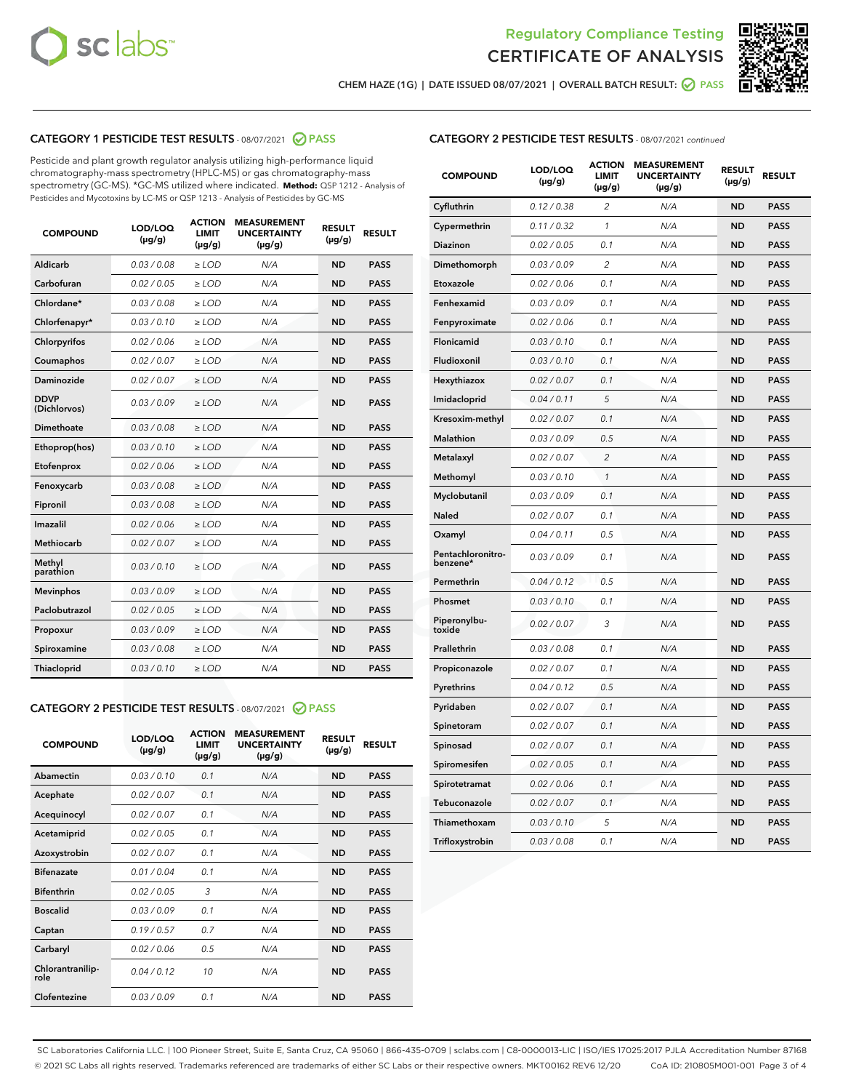



CHEM HAZE (1G) | DATE ISSUED 08/07/2021 | OVERALL BATCH RESULT: 0 PASS

## CATEGORY 1 PESTICIDE TEST RESULTS - 08/07/2021 2 PASS

Pesticide and plant growth regulator analysis utilizing high-performance liquid chromatography-mass spectrometry (HPLC-MS) or gas chromatography-mass spectrometry (GC-MS). \*GC-MS utilized where indicated. **Method:** QSP 1212 - Analysis of Pesticides and Mycotoxins by LC-MS or QSP 1213 - Analysis of Pesticides by GC-MS

| <b>COMPOUND</b>             | LOD/LOQ<br>$(\mu g/g)$ | <b>ACTION</b><br><b>LIMIT</b><br>$(\mu g/g)$ | <b>MEASUREMENT</b><br><b>UNCERTAINTY</b><br>$(\mu g/g)$ | <b>RESULT</b><br>$(\mu g/g)$ | <b>RESULT</b> |
|-----------------------------|------------------------|----------------------------------------------|---------------------------------------------------------|------------------------------|---------------|
| Aldicarb                    | 0.03/0.08              | $\ge$ LOD                                    | N/A                                                     | <b>ND</b>                    | <b>PASS</b>   |
| Carbofuran                  | 0.02 / 0.05            | $\ge$ LOD                                    | N/A                                                     | <b>ND</b>                    | <b>PASS</b>   |
| Chlordane*                  | 0.03 / 0.08            | $\ge$ LOD                                    | N/A                                                     | <b>ND</b>                    | <b>PASS</b>   |
| Chlorfenapyr*               | 0.03/0.10              | $\ge$ LOD                                    | N/A                                                     | <b>ND</b>                    | <b>PASS</b>   |
| Chlorpyrifos                | 0.02 / 0.06            | $\ge$ LOD                                    | N/A                                                     | <b>ND</b>                    | <b>PASS</b>   |
| Coumaphos                   | 0.02 / 0.07            | $\ge$ LOD                                    | N/A                                                     | <b>ND</b>                    | <b>PASS</b>   |
| Daminozide                  | 0.02 / 0.07            | $\ge$ LOD                                    | N/A                                                     | <b>ND</b>                    | <b>PASS</b>   |
| <b>DDVP</b><br>(Dichlorvos) | 0.03/0.09              | $>$ LOD                                      | N/A                                                     | <b>ND</b>                    | <b>PASS</b>   |
| Dimethoate                  | 0.03/0.08              | $\ge$ LOD                                    | N/A                                                     | <b>ND</b>                    | <b>PASS</b>   |
| Ethoprop(hos)               | 0.03/0.10              | $\ge$ LOD                                    | N/A                                                     | <b>ND</b>                    | <b>PASS</b>   |
| Etofenprox                  | 0.02/0.06              | $>$ LOD                                      | N/A                                                     | <b>ND</b>                    | <b>PASS</b>   |
| Fenoxycarb                  | 0.03/0.08              | $\ge$ LOD                                    | N/A                                                     | <b>ND</b>                    | <b>PASS</b>   |
| Fipronil                    | 0.03/0.08              | $>$ LOD                                      | N/A                                                     | <b>ND</b>                    | <b>PASS</b>   |
| Imazalil                    | 0.02 / 0.06            | $\ge$ LOD                                    | N/A                                                     | <b>ND</b>                    | <b>PASS</b>   |
| Methiocarb                  | 0.02 / 0.07            | $\ge$ LOD                                    | N/A                                                     | <b>ND</b>                    | <b>PASS</b>   |
| Methyl<br>parathion         | 0.03/0.10              | $>$ LOD                                      | N/A                                                     | <b>ND</b>                    | <b>PASS</b>   |
| <b>Mevinphos</b>            | 0.03/0.09              | $>$ LOD                                      | N/A                                                     | <b>ND</b>                    | <b>PASS</b>   |
| Paclobutrazol               | 0.02 / 0.05            | $\ge$ LOD                                    | N/A                                                     | <b>ND</b>                    | <b>PASS</b>   |
| Propoxur                    | 0.03/0.09              | $\ge$ LOD                                    | N/A                                                     | <b>ND</b>                    | <b>PASS</b>   |
| Spiroxamine                 | 0.03 / 0.08            | $\ge$ LOD                                    | N/A                                                     | <b>ND</b>                    | <b>PASS</b>   |
| Thiacloprid                 | 0.03/0.10              | $\ge$ LOD                                    | N/A                                                     | <b>ND</b>                    | <b>PASS</b>   |

#### CATEGORY 2 PESTICIDE TEST RESULTS - 08/07/2021 @ PASS

| <b>COMPOUND</b>          | LOD/LOQ<br>$(\mu g/g)$ | <b>ACTION</b><br><b>LIMIT</b><br>$(\mu g/g)$ | <b>MEASUREMENT</b><br><b>UNCERTAINTY</b><br>$(\mu g/g)$ | <b>RESULT</b><br>$(\mu g/g)$ | <b>RESULT</b> |
|--------------------------|------------------------|----------------------------------------------|---------------------------------------------------------|------------------------------|---------------|
| Abamectin                | 0.03/0.10              | 0.1                                          | N/A                                                     | <b>ND</b>                    | <b>PASS</b>   |
| Acephate                 | 0.02/0.07              | 0.1                                          | N/A                                                     | <b>ND</b>                    | <b>PASS</b>   |
| Acequinocyl              | 0.02/0.07              | 0.1                                          | N/A                                                     | <b>ND</b>                    | <b>PASS</b>   |
| Acetamiprid              | 0.02/0.05              | 0.1                                          | N/A                                                     | <b>ND</b>                    | <b>PASS</b>   |
| Azoxystrobin             | 0.02/0.07              | 0.1                                          | N/A                                                     | <b>ND</b>                    | <b>PASS</b>   |
| <b>Bifenazate</b>        | 0.01/0.04              | 0.1                                          | N/A                                                     | <b>ND</b>                    | <b>PASS</b>   |
| <b>Bifenthrin</b>        | 0.02 / 0.05            | 3                                            | N/A                                                     | <b>ND</b>                    | <b>PASS</b>   |
| <b>Boscalid</b>          | 0.03/0.09              | 0.1                                          | N/A                                                     | <b>ND</b>                    | <b>PASS</b>   |
| Captan                   | 0.19/0.57              | 0.7                                          | N/A                                                     | <b>ND</b>                    | <b>PASS</b>   |
| Carbaryl                 | 0.02/0.06              | 0.5                                          | N/A                                                     | <b>ND</b>                    | <b>PASS</b>   |
| Chlorantranilip-<br>role | 0.04/0.12              | 10                                           | N/A                                                     | <b>ND</b>                    | <b>PASS</b>   |
| Clofentezine             | 0.03/0.09              | 0.1                                          | N/A                                                     | <b>ND</b>                    | <b>PASS</b>   |

| <b>COMPOUND</b>               | LOD/LOQ<br>(µg/g) | <b>ACTION</b><br><b>LIMIT</b><br>$(\mu g/g)$ | <b>MEASUREMENT</b><br><b>UNCERTAINTY</b><br>$(\mu g/g)$ | <b>RESULT</b><br>(µg/g) | <b>RESULT</b> |
|-------------------------------|-------------------|----------------------------------------------|---------------------------------------------------------|-------------------------|---------------|
| Cyfluthrin                    | 0.12 / 0.38       | $\overline{2}$                               | N/A                                                     | <b>ND</b>               | <b>PASS</b>   |
| Cypermethrin                  | 0.11 / 0.32       | $\mathbf{1}$                                 | N/A                                                     | <b>ND</b>               | <b>PASS</b>   |
| <b>Diazinon</b>               | 0.02 / 0.05       | 0.1                                          | N/A                                                     | <b>ND</b>               | <b>PASS</b>   |
| Dimethomorph                  | 0.03 / 0.09       | $\overline{c}$                               | N/A                                                     | <b>ND</b>               | <b>PASS</b>   |
| Etoxazole                     | 0.02 / 0.06       | 0.1                                          | N/A                                                     | <b>ND</b>               | <b>PASS</b>   |
| Fenhexamid                    | 0.03 / 0.09       | 0.1                                          | N/A                                                     | <b>ND</b>               | <b>PASS</b>   |
| Fenpyroximate                 | 0.02 / 0.06       | 0.1                                          | N/A                                                     | <b>ND</b>               | <b>PASS</b>   |
| Flonicamid                    | 0.03 / 0.10       | 0.1                                          | N/A                                                     | <b>ND</b>               | <b>PASS</b>   |
| Fludioxonil                   | 0.03 / 0.10       | 0.1                                          | N/A                                                     | <b>ND</b>               | <b>PASS</b>   |
| Hexythiazox                   | 0.02 / 0.07       | 0.1                                          | N/A                                                     | <b>ND</b>               | <b>PASS</b>   |
| Imidacloprid                  | 0.04 / 0.11       | 5                                            | N/A                                                     | <b>ND</b>               | <b>PASS</b>   |
| Kresoxim-methyl               | 0.02 / 0.07       | 0.1                                          | N/A                                                     | <b>ND</b>               | <b>PASS</b>   |
| Malathion                     | 0.03 / 0.09       | 0.5                                          | N/A                                                     | <b>ND</b>               | <b>PASS</b>   |
| Metalaxyl                     | 0.02 / 0.07       | $\overline{2}$                               | N/A                                                     | <b>ND</b>               | <b>PASS</b>   |
| Methomyl                      | 0.03 / 0.10       | 1                                            | N/A                                                     | <b>ND</b>               | <b>PASS</b>   |
| Myclobutanil                  | 0.03 / 0.09       | 0.1                                          | N/A                                                     | <b>ND</b>               | <b>PASS</b>   |
| Naled                         | 0.02 / 0.07       | 0.1                                          | N/A                                                     | <b>ND</b>               | <b>PASS</b>   |
| Oxamyl                        | 0.04 / 0.11       | 0.5                                          | N/A                                                     | <b>ND</b>               | <b>PASS</b>   |
| Pentachloronitro-<br>benzene* | 0.03 / 0.09       | 0.1                                          | N/A                                                     | <b>ND</b>               | <b>PASS</b>   |
| Permethrin                    | 0.04 / 0.12       | 0.5                                          | N/A                                                     | <b>ND</b>               | <b>PASS</b>   |
| Phosmet                       | 0.03 / 0.10       | 0.1                                          | N/A                                                     | <b>ND</b>               | <b>PASS</b>   |
| Piperonylbu-<br>toxide        | 0.02 / 0.07       | 3                                            | N/A                                                     | <b>ND</b>               | <b>PASS</b>   |
| Prallethrin                   | 0.03 / 0.08       | 0.1                                          | N/A                                                     | <b>ND</b>               | <b>PASS</b>   |
| Propiconazole                 | 0.02 / 0.07       | 0.1                                          | N/A                                                     | <b>ND</b>               | <b>PASS</b>   |
| Pyrethrins                    | 0.04 / 0.12       | 0.5                                          | N/A                                                     | <b>ND</b>               | <b>PASS</b>   |
| Pyridaben                     | 0.02 / 0.07       | 0.1                                          | N/A                                                     | <b>ND</b>               | <b>PASS</b>   |
| Spinetoram                    | 0.02 / 0.07       | 0.1                                          | N/A                                                     | <b>ND</b>               | <b>PASS</b>   |
| Spinosad                      | 0.02 / 0.07       | 0.1                                          | N/A                                                     | ND                      | <b>PASS</b>   |
| Spiromesifen                  | 0.02 / 0.05       | 0.1                                          | N/A                                                     | <b>ND</b>               | <b>PASS</b>   |
| Spirotetramat                 | 0.02 / 0.06       | 0.1                                          | N/A                                                     | <b>ND</b>               | <b>PASS</b>   |
| Tebuconazole                  | 0.02 / 0.07       | 0.1                                          | N/A                                                     | <b>ND</b>               | <b>PASS</b>   |
| Thiamethoxam                  | 0.03 / 0.10       | 5                                            | N/A                                                     | <b>ND</b>               | <b>PASS</b>   |
| Trifloxystrobin               | 0.03 / 0.08       | 0.1                                          | N/A                                                     | ND                      | <b>PASS</b>   |

SC Laboratories California LLC. | 100 Pioneer Street, Suite E, Santa Cruz, CA 95060 | 866-435-0709 | sclabs.com | C8-0000013-LIC | ISO/IES 17025:2017 PJLA Accreditation Number 87168 © 2021 SC Labs all rights reserved. Trademarks referenced are trademarks of either SC Labs or their respective owners. MKT00162 REV6 12/20 CoA ID: 210805M001-001 Page 3 of 4